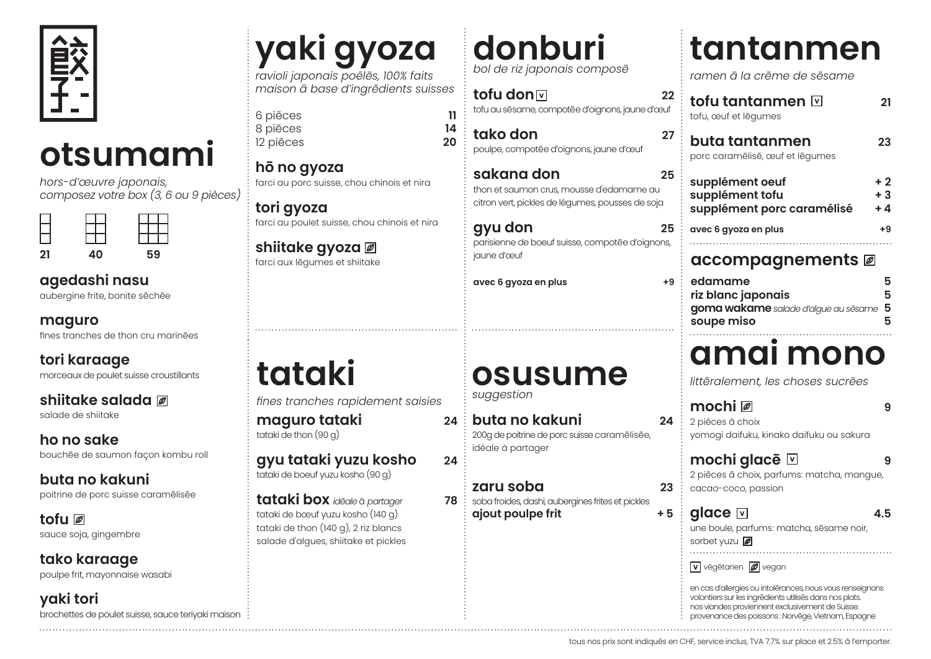

### **otsumami**

*hors-d'œuvre japonais, composez votre box (3, 6 ou 9 pièces)*

| 21 | 40 | 59 |
|----|----|----|

#### **agedashi nasu**

aubergine frite, bonite sēchēe

| maguro |
|--------|
|--------|

fines tranches de thon cru marinēes

**tori karaage** morceaux de poulet suisse croustillants

**shiitake salada** salade de shiitake

**ho no sake** bouchēe de saumon façon kombu roll

**buta no kakuni**  poitrine de porc suisse caramēlisēe

**tofu**  sauce soja, gingembre

**tako karaage** poulpe frit, mayonnaise wasabi

**yaki tori** brochettes de poulet suisse, sauce teriyaki maison

### **yaki gyoza**

*ravioli japonais poêlēs, 100% faits maison ā base d'ingrēdients suisses*

6 piēces **11** 8 piēces **14** 12 piēces

**hō no gyoza**  farci au porc suisse, chou chinois et nira

**tori gyoza**  farci au poulet suisse, chou chinois et nira

**shiitake gyoza**  farci aux lēgumes et shiitake

#### **donburi** *bol de riz japonais composē*

**tofu don**  $\overline{v}$  **22** tofu au sēsame, compotēe d'oignons, jaune d'œuf

**tako don 27** poulpe, compotēe d'oignons, jaune d'œuf

**sakana don 25** thon et saumon crus, mousse d'edamame au citron vert, pickles de légumes, pousses de soja

**gyu don 25** parisienne de boeuf suisse, compotēe d'oignons, jaune d'œuf

**avec 6 gyoza en plus +9**

### **osusume**

*suggestion*

**buta no kakuni 24** 200g de poitrine de porc suisse caramēlisēe, idéale à partager

**zaru soba 23**  $78$  ; soba froides, dashi, aubergines frites et pickles **ajout poulpe frit +5**

tous nos prix sont indiquēs en

**tantanmen**

*ramen ā la crēme de sēsame*

| tofu tantanmen ⊡<br>tofu, œuf et lēgumes                         | 21                   |
|------------------------------------------------------------------|----------------------|
| buta tantanmen<br>porc caramēlisē, œuf et lēgumes                | 23                   |
| supplément oeuf<br>supplément tofu<br>supplément porc caramélisé | $+2$<br>$+3$<br>$+4$ |
| avec 6 gyoza en plus                                             | $+9$                 |

#### **accompagnements**

| edamame                                | 5 |
|----------------------------------------|---|
| riz blanc japonais                     | 5 |
| goma wakame salade d'algue au sēsame 5 |   |
| soupe miso                             | 5 |

### **amai mono**

*littēralement, les choses sucrēes*

| 2 piēces ā choix<br>yomogi daifuku, kinako daifuku ou sakura                                                                                                                                                                    |
|---------------------------------------------------------------------------------------------------------------------------------------------------------------------------------------------------------------------------------|
| mochi glacē $\boxdot$<br>2 piēces ā choix, parfums: matcha, mangue,<br>cacao-coco, passion                                                                                                                                      |
| glace ⊡<br>45<br>une boule, parfums: matcha, sēsame noir,<br>sorbet yuzu                                                                                                                                                        |
| $\boxed{\mathbf{v}}$ vēgētarien $\boxed{\mathscr{D}}$ vegan                                                                                                                                                                     |
| en cas d'allergies ou intolērances, nous vous renseignons<br>volontiers sur les ingrēdients utilisēs dans nos plats.<br>nos viandes proviennent exclusivement de Suisse.<br>provenance des poissons : Norvēge, Vietnam, Espagne |
| CHF, service inclus, TVA 7.7% sur place et 2.5% ā l'emporter.                                                                                                                                                                   |

**tataki**

*fines tranches rapidement saisies* **maguro tataki 24** tataki de thon (90 g)

**gyu tataki yuzu kosho 24** tataki de boeuf yuzu kosho (90 g)

**tataki box** *idēale* ā *partager* **78** tataki de bœuf yuzu kosho (140 g) tataki de thon (140 g), 2 riz blancs salade d'algues, shiitake et pickles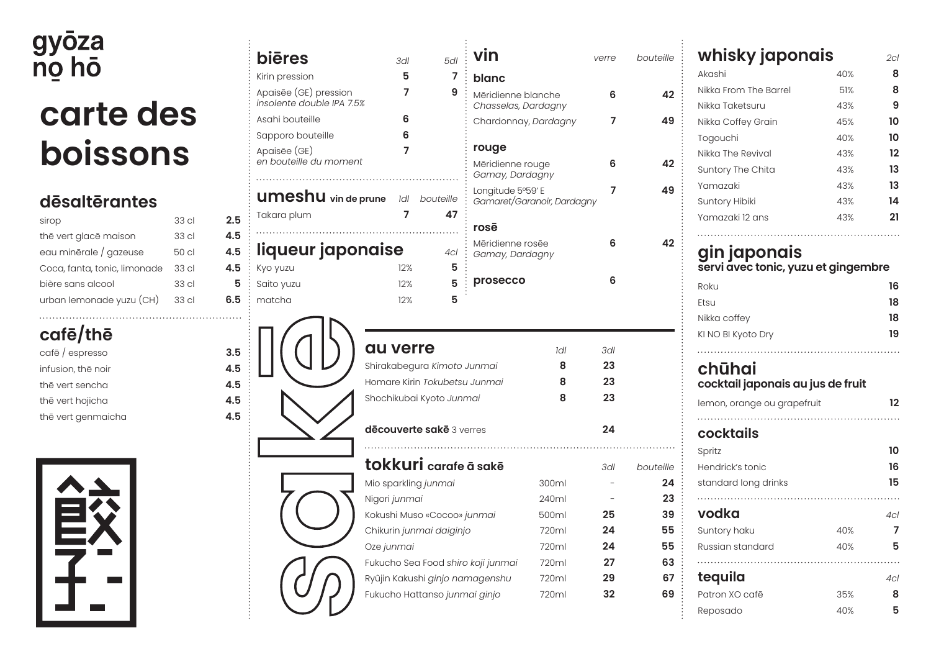# gyōza<br>nọ hō

### **carte des boissons**

#### **dēsaltērantes**

| sirop                        | 33 cl            | 2.5 |
|------------------------------|------------------|-----|
| thē vert glacē maison        | 33 cl            | 4.5 |
| eau minērale / gazeuse       | 50 cl            | 4.5 |
| Coca, fanta, tonic, limonade | 33 cl            | 4.5 |
| bière sans alcool            | 33 <sub>cl</sub> | 5   |
| urban lemonade yuzu (CH)     | 33 <sub>cl</sub> | 6.5 |
|                              |                  |     |

#### **cafē/thē**

| cafē / espresso    | 3.5 |
|--------------------|-----|
| infusion, thē noir | 4.5 |
| thē vert sencha    | 4.5 |
| thē vert hojicha   | 4.5 |
| thē vert genmaicha | 4.5 |



|            |                                                    |                                    |     | vin                                       |                            |       |           |                                          |            |                |
|------------|----------------------------------------------------|------------------------------------|-----|-------------------------------------------|----------------------------|-------|-----------|------------------------------------------|------------|----------------|
|            | <b>bi</b> eres                                     | 3dl                                | 5dl |                                           |                            | verre | bouteille | whisky japonais                          |            | 2cl            |
|            | Kirin pression                                     | 5                                  | 7   | blanc                                     |                            |       |           | Akashi                                   | 40%        | 8              |
|            | Apaisēe (GE) pression<br>insolente double IPA 7.5% | 7                                  | 9   | Mēridienne blanche<br>Chasselas, Dardagny |                            | 6     | 42        | Nikka From The Barrel<br>Nikka Taketsuru | 51%<br>43% | 8<br>9         |
|            | Asahi bouteille                                    | 6                                  |     | Chardonnay, Dardagny                      |                            | 7     | 49        | Nikka Coffey Grain                       | 45%        | 10             |
|            | Sapporo bouteille                                  | 6                                  |     |                                           |                            |       |           | Togouchi                                 | 40%        | 10             |
|            | Apaisēe (GE)                                       | 7                                  |     | rouge                                     |                            |       |           | Nikka The Revival                        | 43%        | 12             |
|            | en bouteille du moment                             |                                    |     | Mēridienne rouge                          |                            | 6     | 42        | Suntory The Chita                        | 43%        | 13             |
|            |                                                    |                                    |     | Gamay, Dardagny                           |                            |       |           | Yamazaki                                 | 43%        | 13             |
|            | <b>UMeshu</b> vin de prune Idl bouteille           |                                    |     | Longitude 5°59' E                         | Gamaret/Garanoir, Dardagny | 7     | 49        | Suntory Hibiki                           | 43%        | 14             |
| 2.5        | Takara plum                                        | 7                                  | 47  |                                           |                            |       |           | Yamazaki 12 ans                          | 43%        | 21             |
|            |                                                    |                                    |     | rosē                                      |                            |       |           |                                          |            |                |
| 4.5<br>4.5 | liqueur japonaise                                  |                                    | 4cl | Mēridienne rosēe<br>Gamay, Dardagny       |                            | 6     | 42        | gin japonais                             |            |                |
| 4.5        | Kyo yuzu                                           | 12%                                | 5   |                                           |                            |       |           | servi avec tonic, yuzu et gingembre      |            |                |
| 5          | Saito yuzu                                         | 12%                                | 5   | prosecco                                  |                            | 6     |           | Roku                                     |            | 16             |
| 6.5        | matcha                                             | 12%                                | 5   |                                           |                            |       |           | Etsu                                     |            | 18             |
|            |                                                    |                                    |     |                                           |                            |       |           | Nikka coffey                             |            | 18             |
|            |                                                    |                                    |     |                                           |                            |       |           | KI NO BI Kyoto Dry                       |            | 19             |
| 3.5        |                                                    | <b>au verre</b>                    |     |                                           | Idl                        | 3dl   |           |                                          |            |                |
| 4.5        |                                                    | Shirakabegura Kimoto Junmai        |     |                                           | 8                          | 23    |           | chūhai                                   |            |                |
| 4.5        |                                                    | Homare Kirin Tokubetsu Junmai      |     |                                           | 8                          | 23    |           | cocktail japonais au jus de fruit        |            |                |
| 4.5<br>4.5 |                                                    | Shochikubai Kyoto Junmai           |     |                                           | 8                          | 23    |           | lemon, orange ou grapefruit              |            | 12             |
|            |                                                    | dēcouverte sakē 3 verres           |     |                                           |                            | 24    |           | cocktails                                |            |                |
|            |                                                    |                                    |     |                                           |                            |       |           | Spritz                                   |            | 10             |
|            |                                                    | tokkuri carafe ā sakē              |     |                                           |                            | 3dl   | bouteille | Hendrick's tonic                         |            | 16             |
|            |                                                    | Mio sparkling junmai               |     |                                           | 300ml                      |       | 24        | standard long drinks                     |            | 15             |
|            |                                                    | Nigori junmai                      |     |                                           | 240ml                      |       | 23        |                                          |            |                |
|            |                                                    | Kokushi Muso «Cocoo» junmai        |     |                                           | 500ml                      | 25    | 39        | vodka                                    |            | 4 <sub>C</sub> |
|            |                                                    | Chikurin junmai daiginjo           |     |                                           | 720ml                      | 24    | 55        | Suntory haku                             | 40%        |                |
|            |                                                    | Oze junmai                         |     |                                           | 720ml                      | 24    | 55        | Russian standard                         | 40%        | 5              |
|            |                                                    | Fukucho Sea Food shiro koji junmai |     |                                           | 720ml                      | 27    | 63        |                                          |            |                |
|            |                                                    | Ryûjin Kakushi ginjo namagenshu    |     |                                           | 720ml                      | 29    | 67        | tequila                                  |            | 4c             |
|            |                                                    | Fukucho Hattanso junmai ginjo      |     |                                           | 720ml                      | 32    | 69        | Patron XO cafē                           | 35%        | 8              |
|            |                                                    |                                    |     |                                           |                            |       |           | Reposado                                 | 40%        | 5              |

| whisky japonais                                                                                                                               |     | 2cl             |
|-----------------------------------------------------------------------------------------------------------------------------------------------|-----|-----------------|
| Akashi                                                                                                                                        | 40% | 8               |
| Nikka From The Barrel                                                                                                                         | 51% | 8               |
| Nikka Taketsuru                                                                                                                               | 43% | 9               |
| Nikka Coffey Grain                                                                                                                            | 45% | 10              |
| Togouchi                                                                                                                                      | 40% | 10              |
| Nikka The Revival                                                                                                                             | 43% | 12              |
| Suntory The Chita                                                                                                                             | 43% | 13              |
| Yamazaki                                                                                                                                      | 43% | 13              |
| Suntory Hibiki                                                                                                                                | 43% | 14              |
| Yamazaki 12 ans                                                                                                                               | 43% | 21              |
|                                                                                                                                               |     | 18              |
| Nikka coffey<br>KI NO BI Kyoto Dry                                                                                                            |     | 19              |
|                                                                                                                                               |     |                 |
|                                                                                                                                               |     | 12              |
|                                                                                                                                               |     |                 |
|                                                                                                                                               |     | 10              |
|                                                                                                                                               |     | 16              |
| chūhai<br>cocktail japonais au jus de fruit<br>lemon, orange ou grapefruit<br>cocktails<br>Spritz<br>Hendrick's tonic<br>standard long drinks |     | 15              |
| vodka                                                                                                                                         |     | $\cdots$<br>4cl |
| Suntory haku                                                                                                                                  | 40% | 7               |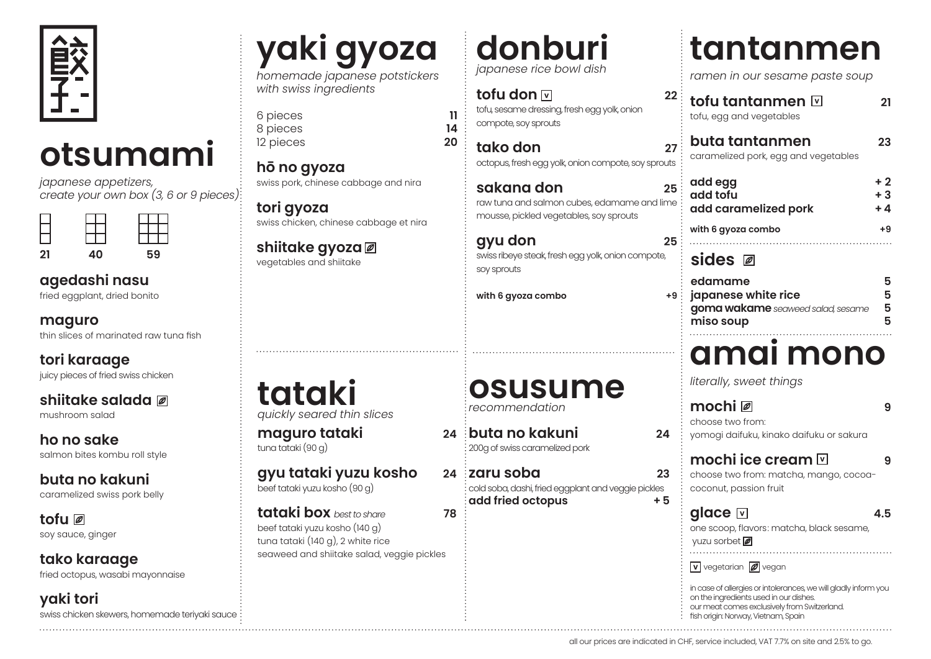

### **otsumami**

*japanese appetizers, create your own box (3, 6 or 9 pieces)*



#### **agedashi nasu**

fried eggplant, dried bonito

**maguro**

thin slices of marinated raw tuna fish

**tori karaage** juicy pieces of fried swiss chicken

#### **shiitake salada**

mushroom salad

**ho no sake** salmon bites kombu roll style

**buta no kakuni** 

caramelized swiss pork belly

**tofu**  soy sauce, ginger

**tako karaage** fried octopus, wasabi mayonnaise

**yaki tori** swiss chicken skewers, homemade teriyaki sauce

### **yaki gyoza**

*homemade japanese potstickers with swiss ingredients*

6 pieces **11** 8 pieces **14** 12 pieces

**hō no gyoza**  swiss pork, chinese cabbage and nira

**tori gyoza**  swiss chicken, chinese cabbage et nira

**shiitake gyoza**  vegetables and shiitake

**donburi** *japanese rice bowl dish*

**tofu don**  $\mathbb{\overline{v}}$  **22** tofu, sesame dressing, fresh egg yolk, onion compote, soy sprouts

**tako don 27** octopus, fresh egg yolk, onion compote, soy sprouts

**sakana don 25** raw tuna and salmon cubes, edamame and lime mousse, pickled vegetables, soy sprouts

**gyu don 25** swiss ribeye steak, fresh egg yolk, onion compote, soy sprouts

with 6 gyoza combo

### **tantanmen**

*ramen in our sesame paste soup*

**tofu tantanmen 21** tofu, egg and vegetables **buta tantanmen 23** caramelized pork, egg and vegetables

| add egg<br>add tofu<br>add caramelized pork | $+2$<br>$+3$<br>$+4$ |
|---------------------------------------------|----------------------|
| with 6 gyoza combo                          | +9                   |
|                                             |                      |

#### **sides**

| $\therefore$ edamame                | 5 |
|-------------------------------------|---|
| 9: japanese white rice              | 5 |
| : goma wakame seaweed salad, sesame | 5 |
| $\frac{1}{2}$ miso soup             | 5 |
|                                     |   |

### **amai mono**

*literally, sweet things*

|                                     |           |                                                                                                                                                                                                                                            | 9   |
|-------------------------------------|-----------|--------------------------------------------------------------------------------------------------------------------------------------------------------------------------------------------------------------------------------------------|-----|
| าi                                  | 24        | choose two from:<br>yomogi daifuku, kinako daifuku or sakura                                                                                                                                                                               |     |
| d pork<br>gplant and veggie pickles | 23<br>+ 5 | mochi ice cream $\boxdot$<br>choose two from: matcha, mango, cocoa-<br>coconut, passion fruit                                                                                                                                              | 9   |
|                                     |           | glace ⊡<br>one scoop, flavors: matcha, black sesame,<br>yuzu sorbet                                                                                                                                                                        | 4.5 |
|                                     |           | $ v $ vegetarian $ \mathscr{D} $ vegan<br>in case of allergies or intolerances, we will gladly inform you<br>on the ingredients used in our dishes.<br>our meat comes exclusively from Switzerland.<br>fish origin: Norway, Vietnam, Spain |     |
|                                     |           | all our prices are indicated in CHF, service included, VAT 7.7% on site and 2.5% to go.                                                                                                                                                    |     |

#### **tataki** *quickly seared thin slices*

**maguro tataki 24** tuna tataki (90 g)

**gyu tataki yuzu kosho 24** beef tataki yuzu kosho (90 g)

**tataki box** *best to share* **78** beef tataki yuzu kosho (140 g) tuna tataki (140 g), 2 white rice

#### **osusume** *recommendation*

**buta no kakuni 24** 200g of swiss caramelized pork

*za* **zaru soba 23** cold soba, dashi, fried eggplant and veggie pickles **add fried octopus +5**

seaweed and shiitake salad, veggie pickles